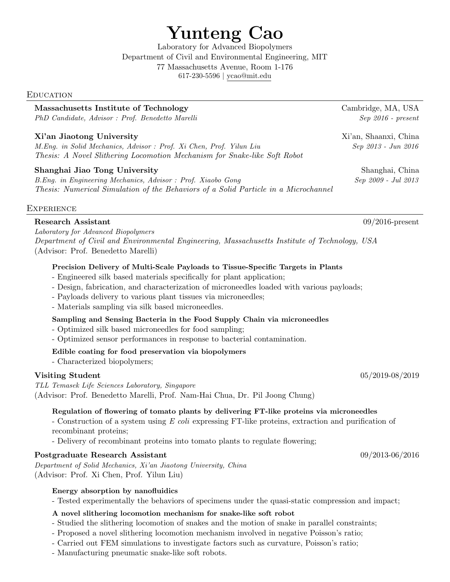# Yunteng Cao

Laboratory for Advanced Biopolymers Department of Civil and Environmental Engineering, MIT 77 Massachusetts Avenue, Room 1-176 617-230-5596 | [ycao@mit.edu](mailto:x@x.com)

#### **EDUCATION**

## Massachusetts Institute of Technology Cambridge, MA, USA

PhD Candidate, Advisor : Prof. Benedetto Marelli Sep 2016 - present

#### Xi'an Jiaotong University Xi'an, Shaanxi, China

M.Eng. in Solid Mechanics, Advisor : Prof. Xi Chen, Prof. Yilun Liu Sep 2013 - Jun 2016 Thesis: A Novel Slithering Locomotion Mechanism for Snake-like Soft Robot

#### Shanghai Jiao Tong University Shanghai, China

B.Eng. in Engineering Mechanics, Advisor : Prof. Xiaobo Gong Sep 2009 - Jul 2013 Thesis: Numerical Simulation of the Behaviors of a Solid Particle in a Microchannel

#### **EXPERIENCE**

#### Research Assistant 09/2016-present

Laboratory for Advanced Biopolymers Department of Civil and Environmental Engineering, Massachusetts Institute of Technology, USA (Advisor: Prof. Benedetto Marelli)

#### Precision Delivery of Multi-Scale Payloads to Tissue-Specific Targets in Plants

- Engineered silk based materials specifically for plant application;
- Design, fabrication, and characterization of microneedles loaded with various payloads;
- Payloads delivery to various plant tissues via microneedles;
- Materials sampling via silk based microneedles.

#### Sampling and Sensing Bacteria in the Food Supply Chain via microneedles

- Optimized silk based microneedles for food sampling;
- Optimized sensor performances in response to bacterial contamination.

#### Edible coating for food preservation via biopolymers

- Characterized biopolymers;

#### $\textbf{V}$ isiting Student  $05/2019-08/2019$

TLL Temasek Life Sciences Laboratory, Singapore (Advisor: Prof. Benedetto Marelli, Prof. Nam-Hai Chua, Dr. Pil Joong Chung)

#### Regulation of flowering of tomato plants by delivering FT-like proteins via microneedles

- Construction of a system using E coli expressing FT-like proteins, extraction and purification of recombinant proteins;

- Delivery of recombinant proteins into tomato plants to regulate flowering;

#### Postgraduate Research Assistant 09/2013-06/2016

Department of Solid Mechanics, Xi'an Jiaotong University, China (Advisor: Prof. Xi Chen, Prof. Yilun Liu)

#### Energy absorption by nanofluidics

- Tested experimentally the behaviors of specimens under the quasi-static compression and impact;

#### A novel slithering locomotion mechanism for snake-like soft robot

- Studied the slithering locomotion of snakes and the motion of snake in parallel constraints;
- Proposed a novel slithering locomotion mechanism involved in negative Poisson's ratio;
- Carried out FEM simulations to investigate factors such as curvature, Poisson's ratio;
- Manufacturing pneumatic snake-like soft robots.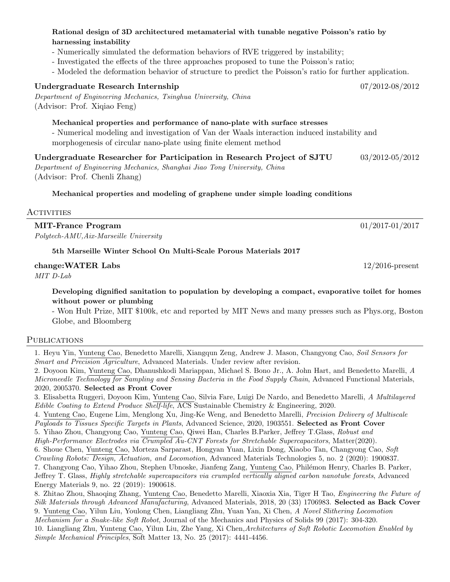### Rational design of 3D architectured metamaterial with tunable negative Poisson's ratio by harnessing instability

- Numerically simulated the deformation behaviors of RVE triggered by instability;
- Investigated the effects of the three approaches proposed to tune the Poisson's ratio;
- Modeled the deformation behavior of structure to predict the Poisson's ratio for further application.

## Undergraduate Research Internship 07/2012-08/2012

Department of Engineering Mechanics, Tsinghua University, China (Advisor: Prof. Xiqiao Feng)

Mechanical properties and performance of nano-plate with surface stresses

- Numerical modeling and investigation of Van der Waals interaction induced instability and morphogenesis of circular nano-plate using finite element method

Undergraduate Researcher for Participation in Research Project of SJTU 03/2012-05/2012

Department of Engineering Mechanics, Shanghai Jiao Tong University, China (Advisor: Prof. Chenli Zhang)

## Mechanical properties and modeling of graphene under simple loading conditions

## **ACTIVITIES**

## MIT-France Program 01/2017-01/2017

Polytech-AMU,Aix-Marseille University

## 5th Marseille Winter School On Multi-Scale Porous Materials 2017

## change:WATER Labs 12/2016-present

MIT D-Lab

Developing dignified sanitation to population by developing a compact, evaporative toilet for homes without power or plumbing

- Won Hult Prize, MIT \$100k, etc and reported by MIT News and many presses such as Phys.org, Boston Globe, and Bloomberg

#### **PUBLICATIONS**

1. Heyu Yin, Yunteng Cao, Benedetto Marelli, Xiangqun Zeng, Andrew J. Mason, Changyong Cao, Soil Sensors for Smart and Precision Agriculture, Advanced Materials. Under review after revision.

2. Doyoon Kim, Yunteng Cao, Dhanushkodi Mariappan, Michael S. Bono Jr., A. John Hart, and Benedetto Marelli, A Microneedle Technology for Sampling and Sensing Bacteria in the Food Supply Chain, Advanced Functional Materials, 2020, 2005370. Selected as Front Cover

3. Elisabetta Ruggeri, Doyoon Kim, Yunteng Cao, Silvia Fare, Luigi De Nardo, and Benedetto Marelli, A Multilayered Edible Coating to Extend Produce Shelf-life, ACS Sustainable Chemistry & Engineering, 2020.

4. Yunteng Cao, Eugene Lim, Menglong Xu, Jing-Ke Weng, and Benedetto Marelli, Precision Delivery of Multiscale Payloads to Tissues Specific Targets in Plants, Advanced Science, 2020, 1903551. Selected as Front Cover

- 5. Yihao Zhou, Changyong Cao, Yunteng Cao, Qiwei Han, Charles B.Parker, Jeffrey T.Glass, Robust and High-Performance Electrodes via Crumpled Au-CNT Forests for Stretchable Supercapacitors, Matter(2020).
- 6. Shoue Chen, Yunteng Cao, Morteza Sarparast, Hongyan Yuan, Lixin Dong, Xiaobo Tan, Changyong Cao, Soft

Crawling Robots: Design, Actuation, and Locomotion, Advanced Materials Technologies 5, no. 2 (2020): 1900837.

7. Changyong Cao, Yihao Zhou, Stephen Ubnoske, Jianfeng Zang, Yunteng Cao, Phil´emon Henry, Charles B. Parker, Jeffrey T. Glass, Highly stretchable supercapacitors via crumpled vertically aligned carbon nanotube forests, Advanced Energy Materials 9, no. 22 (2019): 1900618.

8. Zhitao Zhou, Shaoqing Zhang, Yunteng Cao, Benedetto Marelli, Xiaoxia Xia, Tiger H Tao, Engineering the Future of Silk Materials through Advanced Manufacturing, Advanced Materials, 2018, 20 (33) 1706983. Selected as Back Cover 9. Yunteng Cao, Yilun Liu, Youlong Chen, Liangliang Zhu, Yuan Yan, Xi Chen, A Novel Slithering Locomotion Mechanism for a Snake-like Soft Robot, Journal of the Mechanics and Physics of Solids 99 (2017): 304-320.

10. Liangliang Zhu, Yunteng Cao, Yilun Liu, Zhe Yang, Xi Chen,Architectures of Soft Robotic Locomotion Enabled by Simple Mechanical Principles, Soft Matter 13, No. 25 (2017): 4441-4456.